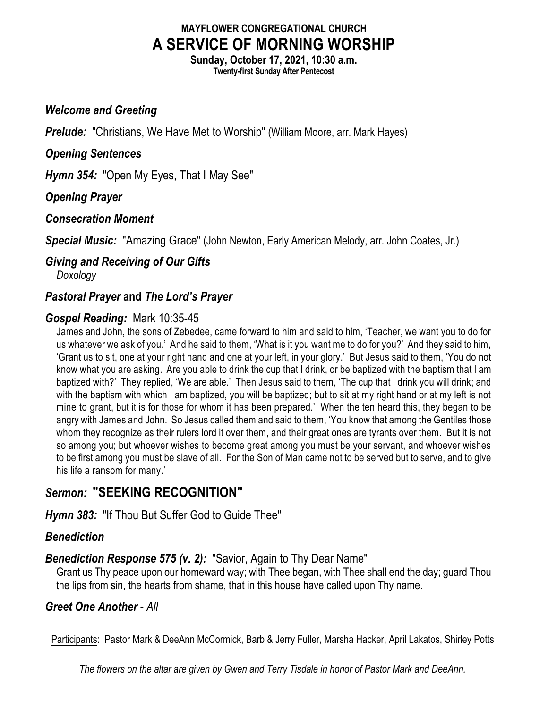### **MAYFLOWER CONGREGATIONAL CHURCH A SERVICE OF MORNING WORSHIP**

**Sunday, October 17, 2021, 10:30 a.m. Twenty-first Sunday After Pentecost**

#### *Welcome and Greeting*

**Prelude:** "Christians, We Have Met to Worship" (William Moore, arr. Mark Hayes)

#### *Opening Sentences*

*Hymn 354:* "Open My Eyes, That I May See"

#### *Opening Prayer*

#### *Consecration Moment*

*Special Music:* "Amazing Grace" (John Newton, Early American Melody, arr. John Coates, Jr.)

# *Giving and Receiving of Our Gifts*

*Doxology*

### *Pastoral Prayer* **and** *The Lord's Prayer*

#### *Gospel Reading:* Mark 10:35-45

James and John, the sons of Zebedee, came forward to him and said to him, 'Teacher, we want you to do for us whatever we ask of you.' And he said to them, 'What is it you want me to do for you?' And they said to him, 'Grant us to sit, one at your right hand and one at your left, in your glory.' But Jesus said to them, 'You do not know what you are asking. Are you able to drink the cup that I drink, or be baptized with the baptism that I am baptized with?' They replied, 'We are able.' Then Jesus said to them, 'The cup that I drink you will drink; and with the baptism with which I am baptized, you will be baptized; but to sit at my right hand or at my left is not mine to grant, but it is for those for whom it has been prepared.' When the ten heard this, they began to be angry with James and John. So Jesus called them and said to them, 'You know that among the Gentiles those whom they recognize as their rulers lord it over them, and their great ones are tyrants over them. But it is not so among you; but whoever wishes to become great among you must be your servant, and whoever wishes to be first among you must be slave of all. For the Son of Man came not to be served but to serve, and to give his life a ransom for many.'

## *Sermon:* **"SEEKING RECOGNITION"**

*Hymn 383:* "If Thou But Suffer God to Guide Thee"

#### *Benediction*

#### *Benediction Response 575 (v. 2):* "Savior, Again to Thy Dear Name"

Grant us Thy peace upon our homeward way; with Thee began, with Thee shall end the day; guard Thou the lips from sin, the hearts from shame, that in this house have called upon Thy name.

#### *Greet One Another* - *All*

Participants: Pastor Mark & DeeAnn McCormick, Barb & Jerry Fuller, Marsha Hacker, April Lakatos, Shirley Potts

*The flowers on the altar are given by Gwen and Terry Tisdale in honor of Pastor Mark and DeeAnn.*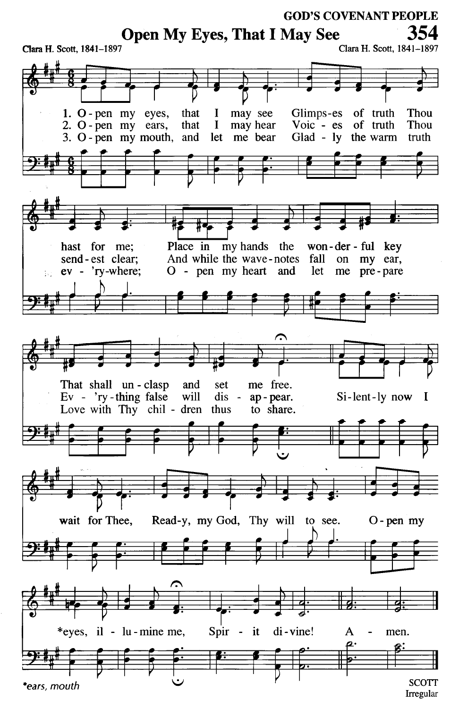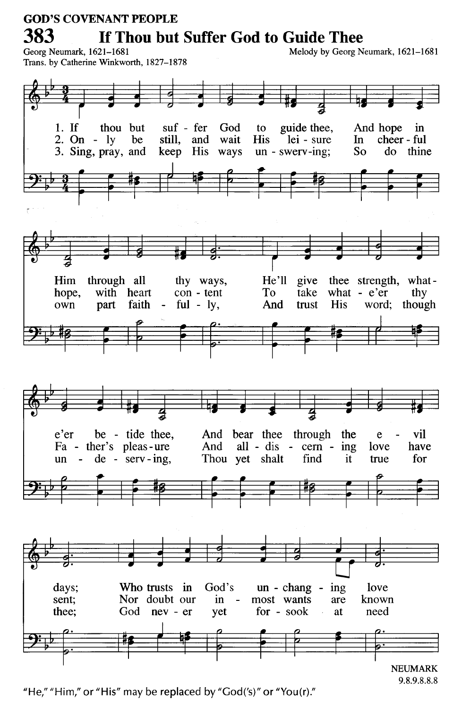#### **GOD'S COVENANT PEOPLE** 383 If Thou but Suffer God to Guide Thee Georg Neumark, 1621-1681

Melody by Georg Neumark, 1621-1681



"He," "Him," or "His" may be replaced by "God('s)" or "You(r)."